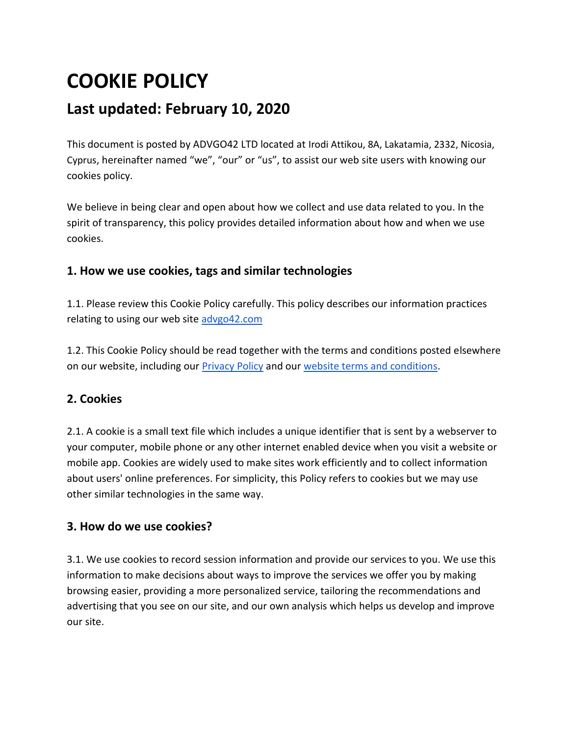# **COOKIE POLICY**

## **Last updated: February 10, 2020**

This document is posted by ADVGO42 LTD located at Irodi Attikou, 8A, Lakatamia, 2332, Nicosia, Cyprus, hereinafter named "we", "our" or "us", to assist our web site users with knowing our cookies policy.

We believe in being clear and open about how we collect and use data related to you. In the spirit of transparency, this policy provides detailed information about how and when we use cookies.

## **1. How we use cookies, tags and similar technologies**

1.1. Please review this Cookie Policy carefully. This policy describes our information practices relating to using our web site [advgo42.com](https://advgo42.com/)

1.2. This Cookie Policy should be read together with the terms and conditions posted elsewhere on our website, including our [Privacy Policy](https://docs.google.com/document/d/e/2PACX-1vRcXwGPiA84w5US-ZYnvDcC-aqgLXdFn-MCEOY-nYakZvrdj_jdCbWWLEilyhv7ag/pub) and ou[r website terms and conditions.](https://docs.google.com/document/d/e/2PACX-1vQ01GeJy6ojfElfJww2GYvZVfjMDsahG861sPPTE5JnYZw5KTZfEisX0EchYWISLOGO7QDVItEEbpfW/pub)

## **2. Cookies**

2.1. A cookie is a small text file which includes a unique identifier that is sent by a webserver to your computer, mobile phone or any other internet enabled device when you visit a website or mobile app. Cookies are widely used to make sites work efficiently and to collect information about users' online preferences. For simplicity, this Policy refers to cookies but we may use other similar technologies in the same way.

## **3. How do we use cookies?**

3.1. We use cookies to record session information and provide our services to you. We use this information to make decisions about ways to improve the services we offer you by making browsing easier, providing a more personalized service, tailoring the recommendations and advertising that you see on our site, and our own analysis which helps us develop and improve our site.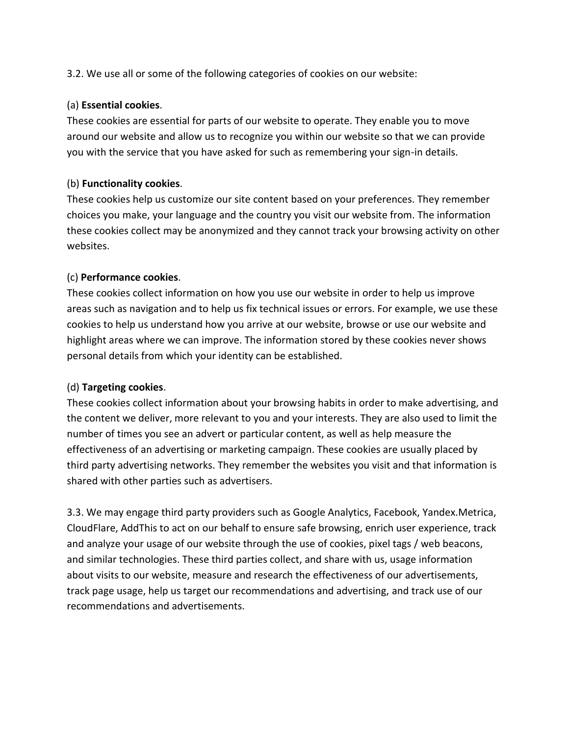3.2. We use all or some of the following categories of cookies on our website:

#### (a) **Essential cookies**.

These cookies are essential for parts of our website to operate. They enable you to move around our website and allow us to recognize you within our website so that we can provide you with the service that you have asked for such as remembering your sign-in details.

#### (b) **Functionality cookies**.

These cookies help us customize our site content based on your preferences. They remember choices you make, your language and the country you visit our website from. The information these cookies collect may be anonymized and they cannot track your browsing activity on other websites.

#### (c) **Performance cookies**.

These cookies collect information on how you use our website in order to help us improve areas such as navigation and to help us fix technical issues or errors. For example, we use these cookies to help us understand how you arrive at our website, browse or use our website and highlight areas where we can improve. The information stored by these cookies never shows personal details from which your identity can be established.

#### (d) **Targeting cookies**.

These cookies collect information about your browsing habits in order to make advertising, and the content we deliver, more relevant to you and your interests. They are also used to limit the number of times you see an advert or particular content, as well as help measure the effectiveness of an advertising or marketing campaign. These cookies are usually placed by third party advertising networks. They remember the websites you visit and that information is shared with other parties such as advertisers.

3.3. We may engage third party providers such as Google Analytics, Facebook, Yandex.Metrica, CloudFlare, AddThis to act on our behalf to ensure safe browsing, enrich user experience, track and analyze your usage of our website through the use of cookies, pixel tags / web beacons, and similar technologies. These third parties collect, and share with us, usage information about visits to our website, measure and research the effectiveness of our advertisements, track page usage, help us target our recommendations and advertising, and track use of our recommendations and advertisements.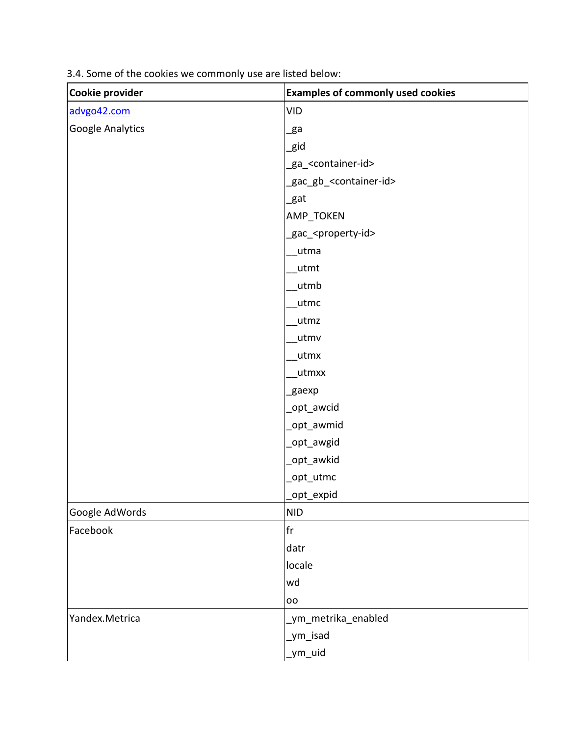| Cookie provider  | <b>Examples of commonly used cookies</b> |
|------------------|------------------------------------------|
| advgo42.com      | <b>VID</b>                               |
| Google Analytics | $_{\rm ga}$                              |
|                  | _gid                                     |
|                  | _ga_ <container-id></container-id>       |
|                  | _gac_gb_ <container-id></container-id>   |
|                  | _gat                                     |
|                  | AMP_TOKEN                                |
|                  | _gac_ <property-id></property-id>        |
|                  | utma                                     |
|                  | utmt                                     |
|                  | _utmb                                    |
|                  | utmc                                     |
|                  | utmz                                     |
|                  | utmv                                     |
|                  | _utmx                                    |
|                  | utmxx                                    |
|                  | _gaexp                                   |
|                  | _opt_awcid                               |
|                  | _opt_awmid                               |
|                  | _opt_awgid                               |
|                  | _opt_awkid                               |
|                  | _opt_utmc                                |
|                  | opt_expid                                |
| Google AdWords   | <b>NID</b>                               |
| Facebook         | $\operatorname{\sf fr}$                  |
|                  | datr                                     |
|                  | locale                                   |
|                  | wd                                       |
|                  | oo                                       |
| Yandex.Metrica   | _ym_metrika_enabled                      |
|                  | _ym_isad                                 |
|                  | ym_uid                                   |

3.4. Some of the cookies we commonly use are listed below: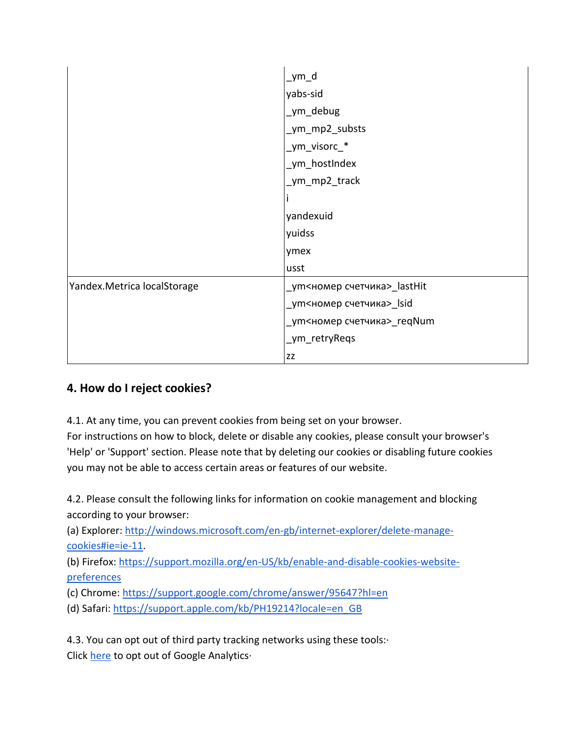|                             | _ym_d                       |
|-----------------------------|-----------------------------|
|                             | yabs-sid                    |
|                             | ym_debug                    |
|                             | _ym_mp2_substs              |
|                             | _ym_visorc_*                |
|                             | _ym_hostIndex               |
|                             | _ym_mp2_track               |
|                             |                             |
|                             | yandexuid                   |
|                             | yuidss                      |
|                             | ymex                        |
|                             | usst                        |
| Yandex.Metrica localStorage | _ym<номер счетчика>_lastHit |
|                             | _ym<номер счетчика>_lsid    |
|                             | _ут<номер счетчика>_reqNum  |
|                             | _ym_retryReqs               |
|                             | ZZ                          |

## **4. How do I reject cookies?**

4.1. At any time, you can prevent cookies from being set on your browser.

For instructions on how to block, delete or disable any cookies, please consult your browser's 'Help' or 'Support' section. Please note that by deleting our cookies or disabling future cookies you may not be able to access certain areas or features of our website.

4.2. Please consult the following links for information on cookie management and blocking according to your browser:

(а) Explorer: [http://windows.microsoft.com/en-gb/internet-explorer/delete-manage](http://windows.microsoft.com/en-gb/internet-explorer/delete-manage-cookies#ie=ie-11)[cookies#ie=ie-11.](http://windows.microsoft.com/en-gb/internet-explorer/delete-manage-cookies#ie=ie-11)

(b) Firefox: [https://support.mozilla.org/en-US/kb/enable-and-disable-cookies-website](https://support.mozilla.org/en-US/kb/enable-and-disable-cookies-website-preferences)[preferences](https://support.mozilla.org/en-US/kb/enable-and-disable-cookies-website-preferences)

(c) Chrome:<https://support.google.com/chrome/answer/95647?hl=en>

(d) Safari: [https://support.apple.com/kb/PH19214?locale=en\\_GB](https://support.apple.com/kb/PH19214?locale=en_GB)

4.3. You can opt out of third party tracking networks using these tools:· Click [here](https://tools.google.com/dlpage/gaoptout) to opt out of Google Analytics·